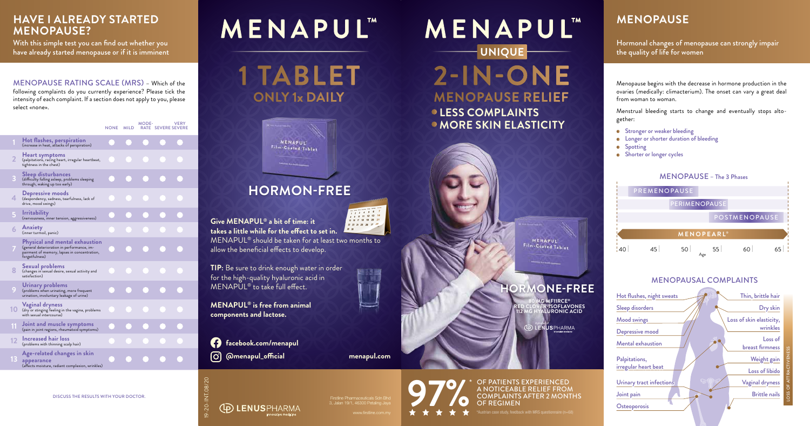|    |                                                                                                                                                | <b>NONE</b> | <b>MILD</b> | MODE- | <b>VERY</b><br>RATE SEVERE SEVERE |  |
|----|------------------------------------------------------------------------------------------------------------------------------------------------|-------------|-------------|-------|-----------------------------------|--|
|    | Hot flashes, perspiration<br>(increase in heat, attacks of perspiration)                                                                       |             |             |       |                                   |  |
| 2  | Heart symptoms<br>(palpitations, racing heart, irregular heartbeat,<br>tightness in the chest)                                                 |             |             |       |                                   |  |
| 3  | Sleep disturbances<br>(difficulty falling asleep, problems sleeping<br>through, waking up too early)                                           |             |             |       |                                   |  |
| 4  | Depressive moods<br>(despondency, sadness, tearfulness, lack of<br>drive, mood swings)                                                         |             |             |       |                                   |  |
| 5  | <b>Irritability</b><br>(nervousness, inner tension, aggressiveness)                                                                            |             |             |       |                                   |  |
| 6  | Anxiety<br>(inner turmoil, panic)                                                                                                              |             |             |       |                                   |  |
|    | Physical and mental exhaustion<br>(general deterioration in performance, im-<br>pairment of memory, lapses in concentration,<br>forgetfulness) |             |             |       |                                   |  |
| 8  | Sexual problems<br>(changes in sexual desire, sexual activity and<br>satisfaction)                                                             |             |             |       |                                   |  |
| 9  | Urinary problems<br>(problems when urinating, more frequent<br>urination, involuntary leakage of urine)                                        |             |             |       |                                   |  |
| 10 | <b>Vaginal dryness</b><br>(dry or stinging feeling in the vagina, problems<br>with sexual intercourse)                                         |             |             |       |                                   |  |
| 11 | Joint and muscle symptoms<br>(pain in joint regions, rheumatoid symptoms)                                                                      |             |             |       |                                   |  |
| 12 | <b>Increased hair loss</b><br>(problems with thinning scalp hair)                                                                              |             |             |       |                                   |  |
| 13 | Age-related changes in skin<br>appearance<br>(affects moisture, radiant complexion, wrinkles)                                                  |             |             |       |                                   |  |

## **MENAPUL**"

 **LESS COMPLAINTS • MORE SKIN ELASTICITY** 



**ORMONE-FREE** 

**97%** \* OF PATIENTS EXPERIENCED<br>
A NOTICEABLE RELIEF FROM<br>
OF REGIMEN<br>  $\star$   $\star$   $\star$   $\star$   $\star$  \* <sup>\*</sup>Austrian case study, feedback with MRS questionnaire (n=6) A NOTICEABLE RELIEF FROM COMPLAINTS AFTER 2 MONTHS OF REGIMEN

#### **MENOPAUSE**

Hormonal changes of menopause can strongly impair the quality of life for women

Menopause begins with the decrease in hormone production in the ovaries (medically: climacterium). The onset can vary a great deal from woman to woman.

With this simple test you can find out whether you have already started menopause or if it is imminent

Menstrual bleeding starts to change and eventually stops alto-

**Stronger or weaker bleeding •** Longer or shorter duration of bleeding

gether:

- 
- **Spotting**
- **Shorter or longer cycles**



Joint pain **Osteoporosis** 

**80 MG MF11RCE® RED CLOVER-ISOFLAVONES 112 MG HYALURONIC ACID**

**ENUSPHARMA** 

**UNIQUE 2-IN-ONE MENOPAUSE RELIEF**

**MENAPUL**"

### **HORMON-FREE**

**1 TABLET ONLY 1x DAILY**



**Give MENAPUL® a bit of time: it takes a little while for the effect to set in.**  MENAPUL® should be taken for at least two months to

allow the beneficial effects to develop.

**TIP:** Be sure to drink enough water in order for the high-quality hyaluronic acid in MENAPUL® to take full effect.

**MENAPUL® is free from animal components and lactose.**

19-20-INT.08/20

Firstline Pharmaceuticals Sdn Bhd 3, Jalan 19/1, 46300 Petaling Jaya

**facebook.com/menapul**

**@menapul\_official menapul.com**

**(ID) LENUSPHARMA** 



MENOPAUSE RATING SCALE (MRS) – Which of the following complaints do you currently experience? Please tick the intensity of each complaint. If a section does not apply to you, please select «none».

#### **HAVE I ALREADY STARTED MENOPAUSE?**

DISCUSS THE RESULTS WITH YOUR DOCTOR.

#### MENOPAUSAL COMPLAINTS

Sleep disorders Mood swings

Depressive mood

Mental exhaustion

Palpitations, irregular heart beat



LOSS OF ATTRACTIVENESS